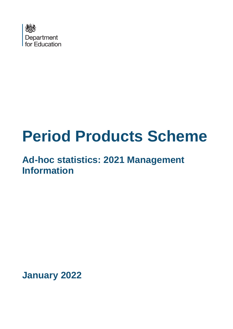

# **Period Products Scheme**

## **Ad-hoc statistics: 2021 Management Information**

**January 2022**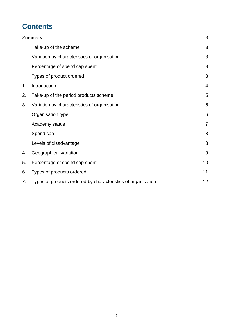## **Contents**

|    | Summary                                                      | 3              |
|----|--------------------------------------------------------------|----------------|
|    | Take-up of the scheme                                        | 3              |
|    | Variation by characteristics of organisation                 | 3              |
|    | Percentage of spend cap spent                                | 3              |
|    | Types of product ordered                                     | 3              |
| 1. | Introduction                                                 | $\overline{4}$ |
| 2. | Take-up of the period products scheme                        | 5              |
| 3. | Variation by characteristics of organisation                 | 6              |
|    | Organisation type                                            | 6              |
|    | Academy status                                               | $\overline{7}$ |
|    | Spend cap                                                    | 8              |
|    | Levels of disadvantage                                       | 8              |
| 4. | Geographical variation                                       | 9              |
| 5. | Percentage of spend cap spent                                | 10             |
| 6. | Types of products ordered                                    | 11             |
| 7. | Types of products ordered by characteristics of organisation | 12             |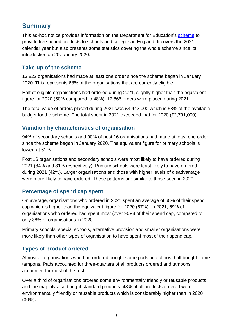## <span id="page-2-0"></span>**Summary**

This ad-hoc notice provides information on the Department for Education's [scheme](https://www.gov.uk/government/publications/period-products-in-schools-and-colleges/period-product-scheme-for-schools-and-colleges-in-england) to provide free period products to schools and colleges in England. It covers the 2021 calendar year but also presents some statistics covering the whole scheme since its introduction on 20 January 2020.

#### <span id="page-2-1"></span>**Take-up of the scheme**

13,822 organisations had made at least one order since the scheme began in January 2020. This represents 68% of the organisations that are currently eligible.

Half of eligible organisations had ordered during 2021, slightly higher than the equivalent figure for 2020 (50% compared to 48%). 17,866 orders were placed during 2021.

The total value of orders placed during 2021 was £3,442,000 which is 58% of the available budget for the scheme. The total spent in 2021 exceeded that for 2020 (£2,791,000).

#### <span id="page-2-2"></span>**Variation by characteristics of organisation**

94% of secondary schools and 90% of post 16 organisations had made at least one order since the scheme began in January 2020. The equivalent figure for primary schools is lower, at 61%.

Post 16 organisations and secondary schools were most likely to have ordered during 2021 (84% and 81% respectively). Primary schools were least likely to have ordered during 2021 (42%). Larger organisations and those with higher levels of disadvantage were more likely to have ordered. These patterns are similar to those seen in 2020.

#### <span id="page-2-3"></span>**Percentage of spend cap spent**

On average, organisations who ordered in 2021 spent an average of 68% of their spend cap which is higher than the equivalent figure for 2020 (57%). In 2021, 69% of organisations who ordered had spent most (over 90%) of their spend cap, compared to only 38% of organisations in 2020.

Primary schools, special schools, alternative provision and smaller organisations were more likely than other types of organisation to have spent most of their spend cap.

#### <span id="page-2-4"></span>**Types of product ordered**

Almost all organisations who had ordered bought some pads and almost half bought some tampons. Pads accounted for three-quarters of all products ordered and tampons accounted for most of the rest.

Over a third of organisations ordered some environmentally friendly or reusable products and the majority also bought standard products. 48% of all products ordered were environmentally friendly or reusable products which is considerably higher than in 2020 (30%).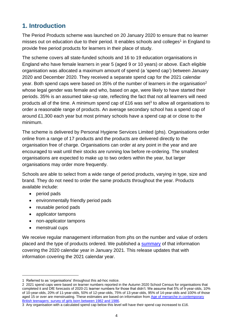## <span id="page-3-0"></span>**1. Introduction**

The Period Products scheme was launched on 20 January 2020 to ensure that no learner misses out on education due to their period. It enables schools and colleges<sup>1</sup> in England to provide free period products for learners in their place of study.

The scheme covers all state-funded schools and 16 to 19 education organisations in England who have female learners in year 5 (aged 9 or 10 years) or above. Each eligible organisation was allocated a maximum amount of spend (a 'spend cap') between January 2020 and December 2020. They received a separate spend cap for the 2021 calendar year. Both spend caps were based on 35% of the number of learners in the organisation<sup>2</sup> whose legal gender was female and who, based on age, were likely to have started their periods. 35% is an assumed take-up rate, reflecting the fact that not all learners will need products all of the time. A minimum spend cap of £16 was set<sup>3</sup> to allow all organisations to order a reasonable range of products. An average secondary school has a spend cap of around £1,300 each year but most primary schools have a spend cap at or close to the minimum.

The scheme is delivered by Personal Hygiene Services Limited (phs). Organisations order online from a range of 17 products and the products are delivered directly to the organisation free of charge. Organisations can order at any point in the year and are encouraged to wait until their stocks are running low before re-ordering. The smallest organisations are expected to make up to two orders within the year, but larger organisations may order more frequently.

Schools are able to select from a wide range of period products, varying in type, size and brand. They do not need to order the same products throughout the year. Products available include:

- period pads
- environmentally friendly period pads
- reusable period pads
- applicator tampons
- non-applicator tampons
- menstrual cups

We receive regular management information from phs on the number and value of orders placed and the type of products ordered. We published a [summary](https://assets.publishing.service.gov.uk/government/uploads/system/uploads/attachment_data/file/979265/Period_Products_Scheme_January_2021_v2__.pdf) of that information covering the 2020 calendar year in January 2021. This release updates that with information covering the 2021 calendar year.

<sup>1</sup> Referred to as 'organisations' throughout this ad-hoc notice.

<sup>2 2021</sup> spend caps were based on learner numbers reported in the Autumn 2020 School Census for organisations that completed it and DfE forecasts of 2020-21 learner numbers for those that didn't. We assume that 5% of 9-year-olds, 10% of 10-year-olds, 20% of 11-year-olds, 50% of 12-year-olds, 75% of 13-year-olds, 95% of 14-year-olds and 100% of those aged 15 or over are menstruating. These estimates are based on information from [Age of menarche in contemporary](https://www.bmj.com/content/322/7294/1095)  [British teenagers: survey of girls born between 1982 and 1986.](https://www.bmj.com/content/322/7294/1095)

<sup>3</sup> Any organisation with a calculated spend cap below this level will have their spend cap increased to £16.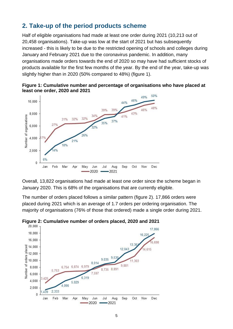## <span id="page-4-0"></span>**2. Take-up of the period products scheme**

Half of eligible organisations had made at least one order during 2021 (10,213 out of 20,458 organisations). Take-up was low at the start of 2021 but has subsequently increased - this is likely to be due to the restricted opening of schools and colleges during January and February 2021 due to the coronavirus pandemic. In addition, many organisations made orders towards the end of 2020 so may have had sufficient stocks of products available for the first few months of the year. By the end of the year, take-up was slightly higher than in 2020 (50% compared to 48%) (figure 1).





Overall, 13,822 organisations had made at least one order since the scheme began in January 2020. This is 68% of the organisations that are currently eligible.

The number of orders placed follows a similar pattern (figure 2). 17,866 orders were placed during 2021 which is an average of 1.7 orders per ordering organisation. The majority of organisations (76% of those that ordered) made a single order during 2021.



**Figure 2: Cumulative number of orders placed, 2020 and 2021**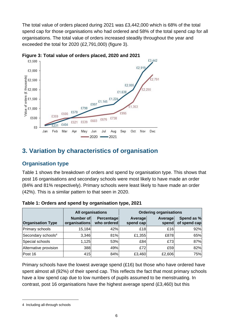The total value of orders placed during 2021 was £3,442,000 which is 68% of the total spend cap for those organisations who had ordered and 58% of the total spend cap for all organisations. The total value of orders increased steadily throughout the year and exceeded the total for 2020 (£2,791,000) (figure 3).





## <span id="page-5-0"></span>**3. Variation by characteristics of organisation**

#### <span id="page-5-1"></span>**Organisation type**

Table 1 shows the breakdown of orders and spend by organisation type. This shows that post 16 organisations and secondary schools were most likely to have made an order (84% and 81% respectively). Primary schools were least likely to have made an order (42%). This is a similar pattern to that seen in 2020.

|                                | <b>All organisations</b>                                |     | <b>Ordering organisations</b> |                  |                            |
|--------------------------------|---------------------------------------------------------|-----|-------------------------------|------------------|----------------------------|
| <b>Organisation Type</b>       | Number of<br>Percentage<br>who ordered<br>organisations |     | <b>Average</b><br>spend cap   | Average<br>spend | Spend as %<br>of spend cap |
| <b>Primary schools</b>         | 15,184                                                  | 42% | £18                           | £16              | 92%                        |
| Secondary schools <sup>4</sup> | 3,346                                                   | 81% | £1,355                        | £878             | 65%                        |
| Special schools                | 1,125                                                   | 53% | £84                           | £73              | 87%                        |
| Alternative provision          | 388                                                     | 49% | £72                           | £59              | 82%                        |
| Post 16                        | 415                                                     | 84% | £3,460                        | £2,606           | 75%                        |

Primary schools have the lowest average spend (£16) but those who have ordered have spent almost all (92%) of their spend cap. This reflects the fact that most primary schools have a low spend cap due to low numbers of pupils assumed to be menstruating. In contrast, post 16 organisations have the highest average spend (£3,460) but this

<sup>4</sup> Including all-through schools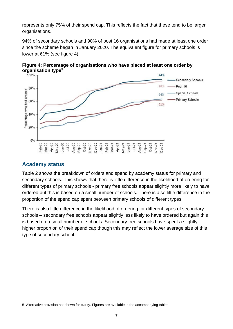represents only 75% of their spend cap. This reflects the fact that these tend to be larger organisations.

94% of secondary schools and 90% of post 16 organisations had made at least one order since the scheme began in January 2020. The equivalent figure for primary schools is lower at 61% (see figure 4).



**Figure 4: Percentage of organisations who have placed at least one order by** 

#### <span id="page-6-0"></span>**Academy status**

Table 2 shows the breakdown of orders and spend by academy status for primary and secondary schools. This shows that there is little difference in the likelihood of ordering for different types of primary schools - primary free schools appear slightly more likely to have ordered but this is based on a small number of schools. There is also little difference in the proportion of the spend cap spent between primary schools of different types.

There is also little difference in the likelihood of ordering for different types of secondary schools – secondary free schools appear slightly less likely to have ordered but again this is based on a small number of schools. Secondary free schools have spent a slightly higher proportion of their spend cap though this may reflect the lower average size of this type of secondary school.

<sup>5</sup> Alternative provision not shown for clarity. Figures are available in the accompanying tables.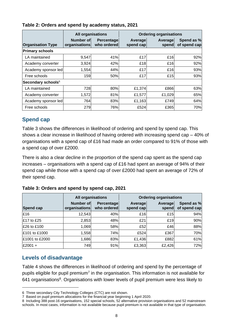|                          | <b>All organisations</b>   |                                  | <b>Ordering organisations</b> |                  |                            |  |  |
|--------------------------|----------------------------|----------------------------------|-------------------------------|------------------|----------------------------|--|--|
| <b>Organisation Type</b> | Number of<br>organisations | <b>Percentage</b><br>who ordered | Average<br>spend cap          | Average<br>spend | Spend as %<br>of spend cap |  |  |
| <b>Primary schools</b>   |                            |                                  |                               |                  |                            |  |  |
| LA maintained            | 9,547                      | 41%                              | £17                           | £16              | 92%                        |  |  |
| Academy converter        | 3,924                      | 42%                              | £18                           | £16              | 92%                        |  |  |
| Academy sponsor led      | 1,554                      | 44%                              | £17                           | £16              | 93%                        |  |  |
| Free schools             | 159                        | 50%                              | £17                           | £15              | 93%                        |  |  |
| Secondary schools $6$    |                            |                                  |                               |                  |                            |  |  |
| LA maintained            | 728                        | 80%                              | £1,374                        | £866             | 63%                        |  |  |
| Academy converter        | 1,572                      | 81%                              | £1,577                        | £1,029           | 65%                        |  |  |
| Academy sponsor led      | 764                        | 83%                              | £1,163                        | £749             | 64%                        |  |  |
| Free schools             | 279                        | 76%                              | £524                          | £365             | 70%                        |  |  |

#### **Table 2: Orders and spend by academy status, 2021**

#### <span id="page-7-0"></span>**Spend cap**

Table 3 shows the differences in likelihood of ordering and spend by spend cap. This shows a clear increase in likelihood of having ordered with increasing spend cap – 40% of organisations with a spend cap of £16 had made an order compared to 91% of those with a spend cap of over £2000.

There is also a clear decline in the proportion of the spend cap spent as the spend cap increases – organisations with a spend cap of £16 had spent an average of 94% of their spend cap while those with a spend cap of over £2000 had spent an average of 72% of their spend cap.

|                | <b>All organisations</b>   |                           | <b>Ordering organisations</b> |                  |                            |
|----------------|----------------------------|---------------------------|-------------------------------|------------------|----------------------------|
| Spend cap      | Number of<br>organisations | Percentage<br>who ordered | Average<br>spend cap          | Average<br>spend | Spend as %<br>of spend cap |
| E16            | 12,543                     | 40%                       | £16                           | £15              | 94%                        |
| £17 to £25     | 2,853                      | 48%                       | £21                           | £19              | 90%                        |
| £26 to £100    | 1,069                      | 58%                       | £52                           | £46              | 88%                        |
| £101 to £1000  | 1,558                      | 74%                       | £524                          | £367             | 70%                        |
| £1001 to £2000 | 1,686                      | 83%                       | £1,436                        | £882             | 61%                        |
| £2001+         | 749                        | 91%                       | £3,363                        | £2,426           | 72%                        |

#### <span id="page-7-1"></span>**Levels of disadvantage**

Table 4 shows the differences in likelihood of ordering and spend by the percentage of pupils eligible for pupil premium<sup>7</sup> in the organisation. This information is not available for 641 organisations<sup>8</sup>. Organisations with lower levels of pupil premium were less likely to

<sup>6</sup> Three secondary City Technology Colleges (CTC) are not shown.

<sup>7</sup> Based on pupil premium allocations for the financial year beginning 1 April 2020.

<sup>8</sup> Including 388 post-16 organisations, 152 special schools, 52 alternative provision organisations and 52 mainstream schools. In most cases, information is not available because pupil premium is not available in that type of organisation.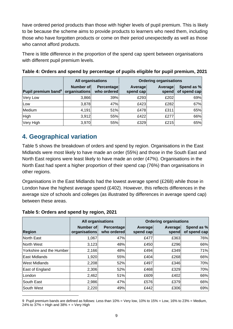have ordered period products than those with higher levels of pupil premium. This is likely to be because the scheme aims to provide products to learners who need them, including those who have forgotten products or come on their period unexpectedly as well as those who cannot afford products.

There is little difference in the proportion of the spend cap spent between organisations with different pupil premium levels.

|                                 | <b>All organisations</b>                                       |     | <b>Ordering organisations</b> |                  |                            |
|---------------------------------|----------------------------------------------------------------|-----|-------------------------------|------------------|----------------------------|
| Pupil premium band <sup>9</sup> | Number of<br><b>Percentage</b><br>organisations<br>who ordered |     | Average<br>spend cap          | Average<br>spend | Spend as %<br>of spend cap |
| Very Low                        | 3,866                                                          | 39% | £293                          | £202             | 69%                        |
| Low                             | 3,878                                                          | 47% | £423                          | £282             | 67%                        |
| Medium                          | 4,191                                                          | 51% | £478                          | £311             | 65%                        |
| <b>High</b>                     | 3,912                                                          | 55% | £422                          | £277             | 66%                        |
| Very High                       | 3,970                                                          | 55% | £329                          | £215             | 65%                        |

## <span id="page-8-0"></span>**4. Geographical variation**

Table 5 shows the breakdown of orders and spend by region. Organisations in the East Midlands were most likely to have made an order (55%) and those in the South East and North East regions were least likely to have made an order (47%). Organisations in the North East had spent a higher proportion of their spend cap (76%) than organisations in other regions.

Organisations in the East Midlands had the lowest average spend (£268) while those in London have the highest average spend (£402). However, this reflects differences in the average size of schools and colleges (as illustrated by differences in average spend cap) between these areas.

|                          | <b>All organisations</b>          |                                  | <b>Ordering organisations</b> |                  |                            |
|--------------------------|-----------------------------------|----------------------------------|-------------------------------|------------------|----------------------------|
| <b>Region</b>            | <b>Number of</b><br>organisations | <b>Percentage</b><br>who ordered | Average<br>spend cap          | Average<br>spend | Spend as %<br>of spend cap |
| North East               | 1,067                             | 47%                              | £477                          | £363             | 76%                        |
| North West               | 3,123                             | 48%                              | £450                          | £296             | 66%                        |
| Yorkshire and the Humber | 2,166                             | 48%                              | £494                          | £349             | 71%                        |
| <b>East Midlands</b>     | 1,920                             | 55%                              | £404                          | £268             | 66%                        |
| <b>West Midlands</b>     | 2,208                             | 52%                              | £497                          | £346             | 70%                        |
| East of England          | 2,306                             | 52%                              | £468                          | £329             | 70%                        |
| lLondon                  | 2,462                             | 51%                              | £609                          | £402             | 66%                        |
| South East               | 2,986                             | 47%                              | £576                          | £379             | 66%                        |
| South West               | 2,220                             | 49%                              | £442                          | £306             | 69%                        |

#### **Table 5: Orders and spend by region, 2021**

<sup>9</sup> Pupil premium bands are defined as follows: Less than 10% = Very low, 10% to 15% = Low, 16% to 23% = Medium, 24% to  $37%$  = High and  $38%$  + = Very High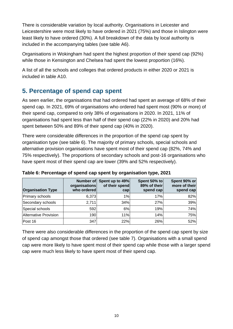There is considerable variation by local authority. Organisations in Leicester and Leicestershire were most likely to have ordered in 2021 (75%) and those in Islington were least likely to have ordered (30%). A full breakdown of the data by local authority is included in the accompanying tables (see table A6).

Organisations in Wokingham had spent the highest proportion of their spend cap (92%) while those in Kensington and Chelsea had spent the lowest proportion (16%).

A list of all the schools and colleges that ordered products in either 2020 or 2021 is included in table A10.

## <span id="page-9-0"></span>**5. Percentage of spend cap spent**

As seen earlier, the organisations that had ordered had spent an average of 68% of their spend cap. In 2021, 69% of organisations who ordered had spent most (90% or more) of their spend cap, compared to only 38% of organisations in 2020. In 2021, 11% of organisations had spent less than half of their spend cap (22% in 2020) and 20% had spent between 50% and 89% of their spend cap (40% in 2020).

There were considerable differences in the proportion of the spend cap spent by organisation type (see table 6). The majority of primary schools, special schools and alternative provision organisations have spent most of their spend cap (82%, 74% and 75% respectively). The proportions of secondary schools and post-16 organisations who have spent most of their spend cap are lower (39% and 52% respectively).

| <b>Organisation Type</b> | Number of<br>organisations<br>who ordered | Spent up to 49%<br>of their spend<br>$\mathsf{cap}$ | Spent 50% to<br>89% of their<br>spend cap | Spent 90% or<br>more of their<br>spend cap |
|--------------------------|-------------------------------------------|-----------------------------------------------------|-------------------------------------------|--------------------------------------------|
| Primary schools          | 6,373                                     | 1%                                                  | 17%                                       | 82%                                        |
| Secondary schools        | 2,711                                     | 34%                                                 | 27%                                       | 39%                                        |
| Special schools          | 592                                       | 6%                                                  | 19%                                       | 74%                                        |
| Alternative Provision    | 190                                       | 11%                                                 | 14%                                       | 75%                                        |
| Post 16                  | 347                                       | 22%                                                 | 26%                                       | 52%                                        |

**Table 6: Percentage of spend cap spent by organisation type, 2021**

There were also considerable differences in the proportion of the spend cap spent by size of spend cap amongst those that ordered (see table 7). Organisations with a small spend cap were more likely to have spent most of their spend cap while those with a larger spend cap were much less likely to have spent most of their spend cap.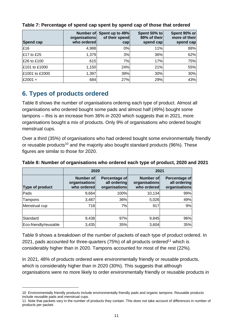| Spend cap           | Number of<br>organisations<br>who ordered | Spent up to 49%<br>of their spend<br>$\mathsf{cap}$ | Spent 50% to<br>89% of their<br>spend cap | Spent 90% or<br>more of their<br>spend cap |
|---------------------|-------------------------------------------|-----------------------------------------------------|-------------------------------------------|--------------------------------------------|
| £16                 | 4,988                                     | $0\%$                                               | 11%                                       | 88%                                        |
| $\pounds$ 17 to £25 | 1,379                                     | 3%                                                  | 36%                                       | 62%                                        |
| £26 to £100         | 615                                       | 7%                                                  | 17%                                       | 75%                                        |
| £101 to £1000       | 1,150                                     | 24%                                                 | 21%                                       | 55%                                        |
| £1001 to £2000      | 1,397                                     | 39%                                                 | 30%                                       | 30%                                        |
| £2001 +             | 684                                       | 27%                                                 | 29%                                       | 43%                                        |

#### **Table 7: Percentage of spend cap spent by spend cap of those that ordered**

## <span id="page-10-0"></span>**6. Types of products ordered**

Table 8 shows the number of organisations ordering each type of product. Almost all organisations who ordered bought some pads and almost half (49%) bought some tampons – this is an increase from 36% in 2020 which suggests that in 2021, more organisations bought a mix of products. Only 9% of organisations who ordered bought menstrual cups.

Over a third (35%) of organisations who had ordered bought some environmentally friendly or reusable products<sup>10</sup> and the majority also bought standard products (96%). These figures are similar to those for 2020.

|                       | 2020                                      |                                                | 2021                                      |                                                |  |
|-----------------------|-------------------------------------------|------------------------------------------------|-------------------------------------------|------------------------------------------------|--|
| Type of product       | Number of<br>organisations<br>who ordered | Percentage of<br>all ordering<br>organisations | Number of<br>organisations<br>who ordered | Percentage of<br>all ordering<br>organisations |  |
| Pads                  | 9,664                                     | 100%                                           | 10,134                                    | 99%                                            |  |
| Tampons               | 3,487                                     | 36%                                            | 5,026                                     | 49%                                            |  |
| Menstrual cup         | 718                                       | 7%                                             | 917                                       | 9%                                             |  |
| Standard              | 9,438                                     | 97%                                            | 9,845                                     | 96%                                            |  |
| Eco-friendly/reusable | 3,435                                     | 35%                                            | 3,604                                     | 35%                                            |  |

#### **Table 8: Number of organisations who ordered each type of product, 2020 and 2021**

Table 9 shows a breakdown of the number of packets of each type of product ordered. In 2021, pads accounted for three-quarters  $(75%)$  of all products ordered<sup>11</sup> which is considerably higher than in 2020. Tampons accounted for most of the rest (22%).

In 2021, 48% of products ordered were environmentally friendly or reusable products, which is considerably higher than in 2020 (30%). This suggests that although organisations were no more likely to order environmentally friendly or reusable products in

<sup>10</sup> Environmentally friendly products include environmentally friendly pads and organic tampons. Reusable products include reusable pads and menstrual cups.

<sup>11</sup> Note that packets vary in the number of products they contain. This does not take account of differences in number of products per packet.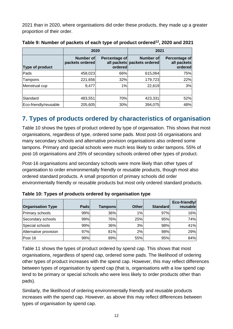2021 than in 2020, where organisations did order these products, they made up a greater proportion of their order.

|                       | 2020                         |                          | 2021                                     |                                         |  |
|-----------------------|------------------------------|--------------------------|------------------------------------------|-----------------------------------------|--|
| Type of product       | Number of<br>packets ordered | Percentage of<br>ordered | Number of<br>all packets packets ordered | Percentage of<br>all packets<br>ordered |  |
| Pads                  | 458,023                      | 66%                      | 615,064                                  | 75%                                     |  |
| Tampons               | 221,656                      | 32%                      | 179,723                                  | 22%                                     |  |
| Menstrual cup         | 9,477                        | 1%                       | 22,619                                   | 3%                                      |  |
| Standard              | 483,551                      | 70%                      | 423,331                                  | 52%                                     |  |
| Eco-friendly/reusable | 205,605                      | 30%                      | 394,075                                  | 48%                                     |  |

|  | Table 9: Number of packets of each type of product ordered <sup>12</sup> , 2020 and 2021 |  |  |
|--|------------------------------------------------------------------------------------------|--|--|
|  |                                                                                          |  |  |

## <span id="page-11-0"></span>**7. Types of products ordered by characteristics of organisation**

Table 10 shows the types of product ordered by type of organisation. This shows that most organisations, regardless of type, ordered some pads. Most post-16 organisations and many secondary schools and alternative provision organisations also ordered some tampons. Primary and special schools were much less likely to order tampons. 55% of post-16 organisations and 25% of secondary schools ordered other types of product.

Post-16 organisations and secondary schools were more likely than other types of organisation to order environmentally friendly or reusable products, though most also ordered standard products. A small proportion of primary schools did order environmentally friendly or reusable products but most only ordered standard products.

| <b>Organisation Type</b> | Pads | Tampons | <b>Other</b> | <b>Standard</b> | Eco-friendly/<br>reusable |
|--------------------------|------|---------|--------------|-----------------|---------------------------|
| Primary schools          | 99%  | 36%     | 1%           | 97%             | 16%                       |
| Secondary schools        | 99%  | 76%     | 25%          | 95%             | 74%                       |
| Special schools          | 99%  | 36%     | 3%           | 98%             | 41%                       |
| Alternative provision    | 97%  | 81%     | 2%           | 98%             | 29%                       |
| Post 16                  | 99%  | 89%     | 55%          | 95%             | 84%                       |

**Table 10: Types of products ordered by organisation type**

Table 11 shows the types of product ordered by spend cap. This shows that most organisations, regardless of spend cap, ordered some pads. The likelihood of ordering other types of product increases with the spend cap. However, this may reflect differences between types of organisation by spend cap (that is, organisations with a low spend cap tend to be primary or special schools who were less likely to order products other than pads).

Similarly, the likelihood of ordering environmentally friendly and reusable products increases with the spend cap. However, as above this may reflect differences between types of organisation by spend cap.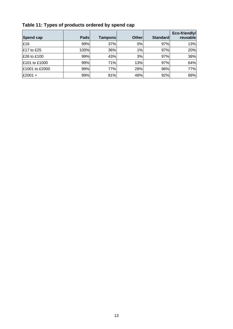| Spend cap         | Pads | <b>Tampons</b> | <b>Otherl</b> | <b>Standard</b> | Eco-friendly/<br>reusablel |
|-------------------|------|----------------|---------------|-----------------|----------------------------|
| £16               | 99%  | 37%            | 0%            | 97%             | 13%                        |
| <b>E17 to £25</b> | 100% | 36%            | 1%            | 97%             | 20%                        |
| £26 to £100       | 99%  | 43%            | 3%            | 97%             | 38%                        |
| £101 to £1000     | 99%  | 71%            | 13%           | 97%             | 64%                        |
| £1001 to £2000    | 99%  | 77%            | 28%           | 96%             | 77%                        |
| £2001 +           | 99%  | 81%            | 48%           | 92%             | 89%                        |

## **Table 11: Types of products ordered by spend cap**